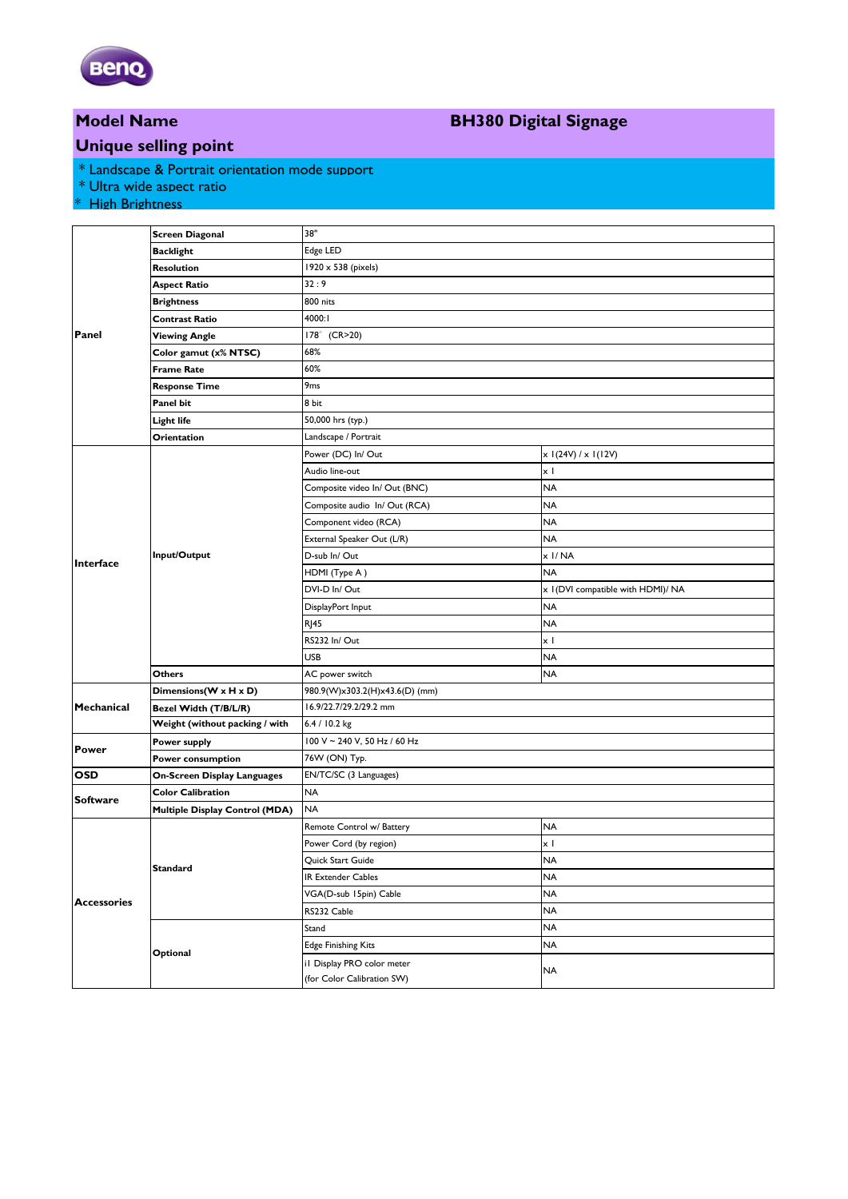

### **Model Name**

## **BH380 Digital Signage**

### **Unique selling point**

- \* Landscape & Portrait orientation mode support
- \* Ultra wide aspect ratio

#### \* High Brightness

|                    | <b>Screen Diagonal</b>             | 38"                            |                                    |
|--------------------|------------------------------------|--------------------------------|------------------------------------|
| Panel              | <b>Backlight</b>                   | Edge LED                       |                                    |
|                    | Resolution                         | 1920 x 538 (pixels)            |                                    |
|                    | <b>Aspect Ratio</b>                | 32:9                           |                                    |
|                    | <b>Brightness</b>                  | 800 nits                       |                                    |
|                    | Contrast Ratio                     | 4000: I                        |                                    |
|                    | <b>Viewing Angle</b>               | 178° (CR>20)                   |                                    |
|                    | Color gamut (x% NTSC)              | 68%                            |                                    |
|                    | Frame Rate                         | 60%                            |                                    |
|                    | <b>Response Time</b>               | 9 <sub>ms</sub>                |                                    |
|                    | Panel bit                          | 8 bit                          |                                    |
|                    | Light life                         | 50,000 hrs (typ.)              |                                    |
|                    | Orientation                        | Landscape / Portrait           |                                    |
| Interface          | Input/Output                       | Power (DC) In/ Out             | $x$ I(24V) / $x$ I(12V)            |
|                    |                                    | Audio line-out                 | $\times$ 1                         |
|                    |                                    | Composite video In/ Out (BNC)  | <b>NA</b>                          |
|                    |                                    | Composite audio In/Out (RCA)   | <b>NA</b>                          |
|                    |                                    | Component video (RCA)          | <b>NA</b>                          |
|                    |                                    | External Speaker Out (L/R)     | <b>NA</b>                          |
|                    |                                    | D-sub In/Out                   | x I/NA                             |
|                    |                                    | HDMI (Type A)                  | <b>NA</b>                          |
|                    |                                    | DVI-D In/Out                   | x I (DVI compatible with HDMI)/ NA |
|                    |                                    | DisplayPort Input              | <b>NA</b>                          |
|                    |                                    | R <sub>145</sub>               | <b>NA</b>                          |
|                    |                                    | RS232 In/Out                   | хI                                 |
|                    |                                    | USB                            | <b>NA</b>                          |
|                    | Others                             | AC power switch                | <b>NA</b>                          |
| Mechanical         | Dimensions (W x H x D)             | 980.9(W)x303.2(H)x43.6(D) (mm) |                                    |
|                    | Bezel Width (T/B/L/R)              | 16.9/22.7/29.2/29.2 mm         |                                    |
|                    | Weight (without packing / with     | 6.4 / 10.2 kg                  |                                    |
| <b>Power</b>       | Power supply                       | 100 V ~ 240 V, 50 Hz / 60 Hz   |                                    |
|                    | Power consumption                  | 76W (ON) Typ.                  |                                    |
| <b>OSD</b>         | <b>On-Screen Display Languages</b> | EN/TC/SC (3 Languages)         |                                    |
| <b>Software</b>    | <b>Color Calibration</b>           | <b>NA</b>                      |                                    |
|                    | Multiple Display Control (MDA)     | <b>NA</b>                      |                                    |
| <b>Accessories</b> | Standard                           | Remote Control w/ Battery      | <b>NA</b>                          |
|                    |                                    | Power Cord (by region)         | x I                                |
|                    |                                    | Quick Start Guide              | <b>NA</b>                          |
|                    |                                    | IR Extender Cables             | <b>NA</b>                          |
|                    |                                    | VGA(D-sub 15pin) Cable         | <b>NA</b>                          |
|                    |                                    | RS232 Cable                    | <b>NA</b>                          |
|                    | Optional                           | Stand                          | <b>NA</b>                          |
|                    |                                    | <b>Edge Finishing Kits</b>     | <b>NA</b>                          |
|                    |                                    | il Display PRO color meter     | NA                                 |
|                    |                                    | (for Color Calibration SW)     |                                    |